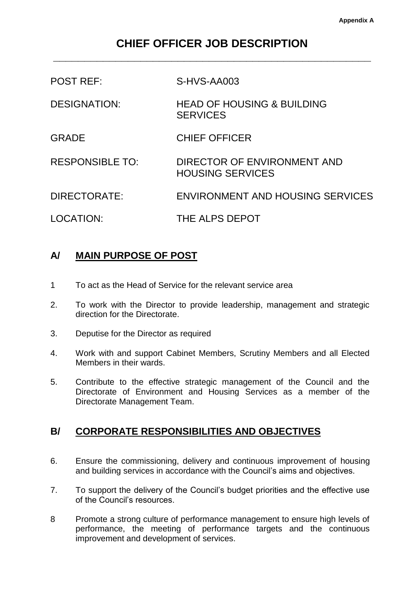# **CHIEF OFFICER JOB DESCRIPTION \_\_\_\_\_\_\_\_\_\_\_\_\_\_\_\_\_\_\_\_\_\_\_\_\_\_\_\_\_\_\_\_\_\_\_\_\_\_\_\_\_\_\_\_\_\_\_\_\_\_\_**

| <b>POST REF:</b>       | S-HVS-AA003                                              |
|------------------------|----------------------------------------------------------|
| <b>DESIGNATION:</b>    | <b>HEAD OF HOUSING &amp; BUILDING</b><br><b>SERVICES</b> |
| <b>GRADE</b>           | <b>CHIEF OFFICER</b>                                     |
| <b>RESPONSIBLE TO:</b> | DIRECTOR OF ENVIRONMENT AND<br><b>HOUSING SERVICES</b>   |
| DIRECTORATE:           | ENVIRONMENT AND HOUSING SERVICES                         |
| LOCATION:              | THE ALPS DEPOT                                           |

# **A/ MAIN PURPOSE OF POST**

- 1 To act as the Head of Service for the relevant service area
- 2. To work with the Director to provide leadership, management and strategic direction for the Directorate.
- 3. Deputise for the Director as required
- 4. Work with and support Cabinet Members, Scrutiny Members and all Elected Members in their wards.
- 5. Contribute to the effective strategic management of the Council and the Directorate of Environment and Housing Services as a member of the Directorate Management Team.

# **B/ CORPORATE RESPONSIBILITIES AND OBJECTIVES**

- 6. Ensure the commissioning, delivery and continuous improvement of housing and building services in accordance with the Council's aims and objectives.
- 7. To support the delivery of the Council's budget priorities and the effective use of the Council's resources.
- 8 Promote a strong culture of performance management to ensure high levels of performance, the meeting of performance targets and the continuous improvement and development of services.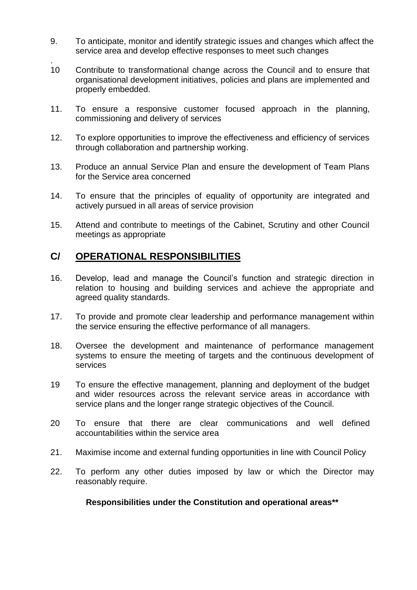- 9. To anticipate, monitor and identify strategic issues and changes which affect the service area and develop effective responses to meet such changes
- . 10 Contribute to transformational change across the Council and to ensure that organisational development initiatives, policies and plans are implemented and properly embedded.
- 11. To ensure a responsive customer focused approach in the planning, commissioning and delivery of services
- 12. To explore opportunities to improve the effectiveness and efficiency of services through collaboration and partnership working.
- 13. Produce an annual Service Plan and ensure the development of Team Plans for the Service area concerned
- 14. To ensure that the principles of equality of opportunity are integrated and actively pursued in all areas of service provision
- 15. Attend and contribute to meetings of the Cabinet, Scrutiny and other Council meetings as appropriate

# **C/ OPERATIONAL RESPONSIBILITIES**

- 16. Develop, lead and manage the Council's function and strategic direction in relation to housing and building services and achieve the appropriate and agreed quality standards.
- 17. To provide and promote clear leadership and performance management within the service ensuring the effective performance of all managers.
- 18. Oversee the development and maintenance of performance management systems to ensure the meeting of targets and the continuous development of services
- 19 To ensure the effective management, planning and deployment of the budget and wider resources across the relevant service areas in accordance with service plans and the longer range strategic objectives of the Council.
- 20 To ensure that there are clear communications and well defined accountabilities within the service area
- 21. Maximise income and external funding opportunities in line with Council Policy
- 22. To perform any other duties imposed by law or which the Director may reasonably require.

#### **Responsibilities under the Constitution and operational areas\*\***